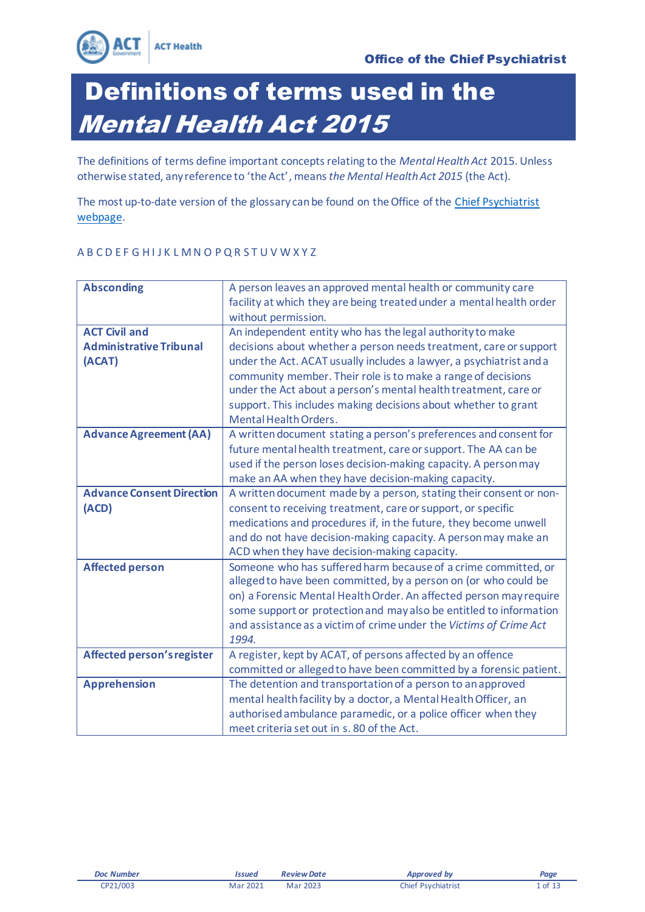

The definitions of terms define important concepts relating to the *Mental Health Act* 2015. Unless otherwise stated, any reference to 'the Act', means *the Mental Health Act 2015* (the Act).

The most up-to-date version of the glossary can be found on the Office of the [Chief Psychiatrist](https://health.act.gov.au/services-and-programs/mental-health/mental-health-act-2015)  [webpage.](https://health.act.gov.au/services-and-programsmental-health/mental-health-act-2015)

### A B C D E F G H I J K L M N O P Q R S T U V W X Y Z

| <b>Absconding</b>                 | A person leaves an approved mental health or community care          |
|-----------------------------------|----------------------------------------------------------------------|
|                                   | facility at which they are being treated under a mental health order |
|                                   | without permission.                                                  |
| <b>ACT Civil and</b>              | An independent entity who has the legal authority to make            |
| <b>Administrative Tribunal</b>    | decisions about whether a person needs treatment, care or support    |
| (ACAT)                            | under the Act. ACAT usually includes a lawyer, a psychiatrist and a  |
|                                   | community member. Their role is to make a range of decisions         |
|                                   | under the Act about a person's mental health treatment, care or      |
|                                   | support. This includes making decisions about whether to grant       |
|                                   | Mental Health Orders.                                                |
| <b>Advance Agreement (AA)</b>     | A written document stating a person's preferences and consent for    |
|                                   | future mental health treatment, care or support. The AA can be       |
|                                   | used if the person loses decision-making capacity. A person may      |
|                                   | make an AA when they have decision-making capacity.                  |
| <b>Advance Consent Direction</b>  | A written document made by a person, stating their consent or non-   |
| (ACD)                             | consent to receiving treatment, care or support, or specific         |
|                                   | medications and procedures if, in the future, they become unwell     |
|                                   | and do not have decision-making capacity. A person may make an       |
|                                   | ACD when they have decision-making capacity.                         |
| <b>Affected person</b>            | Someone who has suffered harm because of a crime committed, or       |
|                                   | alleged to have been committed, by a person on (or who could be      |
|                                   | on) a Forensic Mental Health Order. An affected person may require   |
|                                   | some support or protection and may also be entitled to information   |
|                                   | and assistance as a victim of crime under the Victims of Crime Act   |
|                                   | 1994.                                                                |
| <b>Affected person's register</b> | A register, kept by ACAT, of persons affected by an offence          |
|                                   | committed or alleged to have been committed by a forensic patient.   |
| <b>Apprehension</b>               | The detention and transportation of a person to an approved          |
|                                   | mental health facility by a doctor, a Mental Health Officer, an      |
|                                   | authorised ambulance paramedic, or a police officer when they        |
|                                   | meet criteria set out in s. 80 of the Act.                           |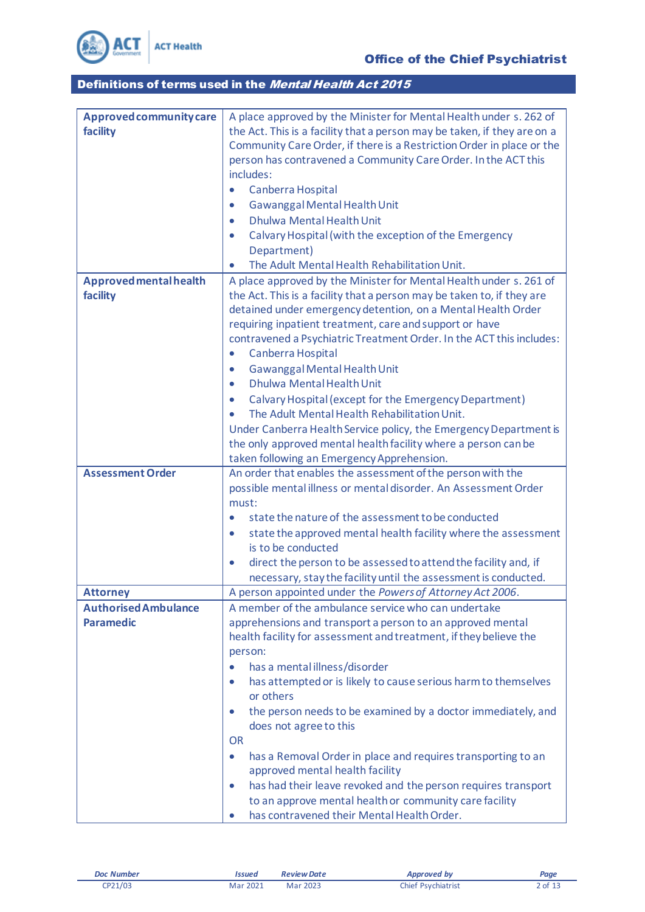

| Approved community care     | A place approved by the Minister for Mental Health under s. 262 of           |
|-----------------------------|------------------------------------------------------------------------------|
| facility                    | the Act. This is a facility that a person may be taken, if they are on a     |
|                             | Community Care Order, if there is a Restriction Order in place or the        |
|                             | person has contravened a Community Care Order. In the ACT this               |
|                             | includes:                                                                    |
|                             | Canberra Hospital<br>$\bullet$                                               |
|                             | Gawanggal Mental Health Unit<br>$\bullet$                                    |
|                             | Dhulwa Mental Health Unit<br>$\bullet$                                       |
|                             | Calvary Hospital (with the exception of the Emergency<br>$\bullet$           |
|                             | Department)                                                                  |
|                             | The Adult Mental Health Rehabilitation Unit.<br>$\bullet$                    |
| Approved mental health      | A place approved by the Minister for Mental Health under s. 261 of           |
| facility                    | the Act. This is a facility that a person may be taken to, if they are       |
|                             | detained under emergency detention, on a Mental Health Order                 |
|                             | requiring inpatient treatment, care and support or have                      |
|                             | contravened a Psychiatric Treatment Order. In the ACT this includes:         |
|                             | Canberra Hospital<br>$\bullet$                                               |
|                             | Gawanggal Mental Health Unit<br>$\bullet$                                    |
|                             | Dhulwa Mental Health Unit<br>$\bullet$                                       |
|                             | Calvary Hospital (except for the Emergency Department)<br>$\bullet$          |
|                             | The Adult Mental Health Rehabilitation Unit.                                 |
|                             | Under Canberra Health Service policy, the Emergency Department is            |
|                             | the only approved mental health facility where a person can be               |
|                             | taken following an Emergency Apprehension.                                   |
| <b>Assessment Order</b>     | An order that enables the assessment of the person with the                  |
|                             | possible mental illness or mental disorder. An Assessment Order              |
|                             | must:                                                                        |
|                             | state the nature of the assessment to be conducted<br>$\bullet$              |
|                             | state the approved mental health facility where the assessment<br>$\bullet$  |
|                             | is to be conducted                                                           |
|                             | direct the person to be assessed to attend the facility and, if<br>$\bullet$ |
|                             | necessary, stay the facility until the assessment is conducted.              |
| <b>Attorney</b>             | A person appointed under the Powers of Attorney Act 2006.                    |
| <b>Authorised Ambulance</b> | A member of the ambulance service who can undertake                          |
| <b>Paramedic</b>            | apprehensions and transport a person to an approved mental                   |
|                             | health facility for assessment and treatment, if they believe the            |
|                             | person:                                                                      |
|                             | has a mental illness/disorder                                                |
|                             | has attempted or is likely to cause serious harm to themselves<br>$\bullet$  |
|                             | or others                                                                    |
|                             | the person needs to be examined by a doctor immediately, and<br>$\bullet$    |
|                             | does not agree to this                                                       |
|                             | <b>OR</b>                                                                    |
|                             | has a Removal Order in place and requires transporting to an<br>$\bullet$    |
|                             | approved mental health facility                                              |
|                             | has had their leave revoked and the person requires transport<br>$\bullet$   |
|                             | to an approve mental health or community care facility                       |
|                             | has contravened their Mental Health Order.                                   |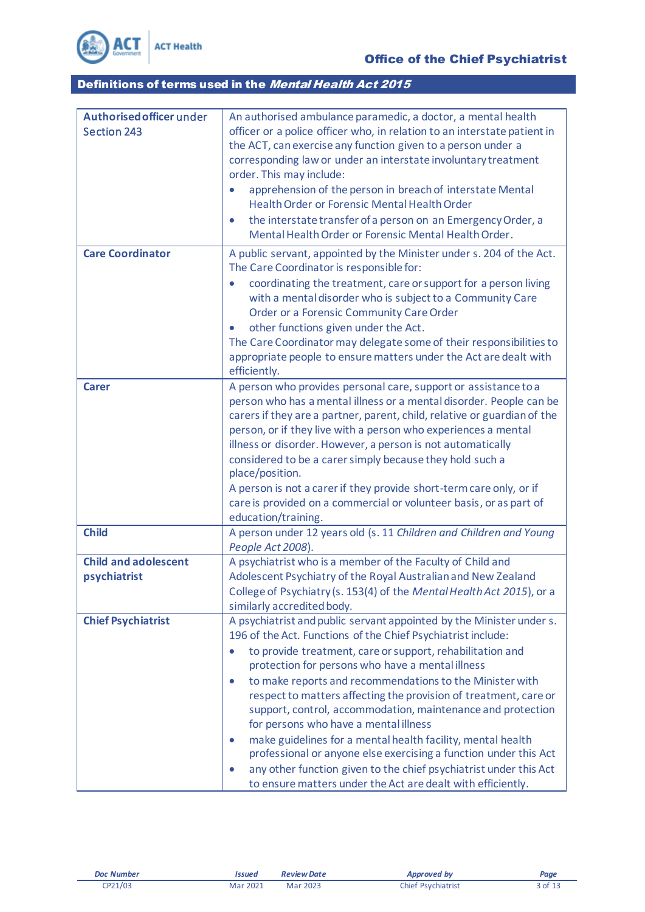

| Authorised officer under    | An authorised ambulance paramedic, a doctor, a mental health                                                  |
|-----------------------------|---------------------------------------------------------------------------------------------------------------|
| <b>Section 243</b>          | officer or a police officer who, in relation to an interstate patient in                                      |
|                             | the ACT, can exercise any function given to a person under a                                                  |
|                             | corresponding law or under an interstate involuntary treatment                                                |
|                             | order. This may include:                                                                                      |
|                             | apprehension of the person in breach of interstate Mental                                                     |
|                             | Health Order or Forensic Mental Health Order                                                                  |
|                             |                                                                                                               |
|                             | the interstate transfer of a person on an Emergency Order, a<br>$\bullet$                                     |
|                             | Mental Health Order or Forensic Mental Health Order.                                                          |
| <b>Care Coordinator</b>     | A public servant, appointed by the Minister under s. 204 of the Act.                                          |
|                             | The Care Coordinator is responsible for:                                                                      |
|                             | coordinating the treatment, care or support for a person living<br>$\bullet$                                  |
|                             | with a mental disorder who is subject to a Community Care                                                     |
|                             | Order or a Forensic Community Care Order                                                                      |
|                             | other functions given under the Act.<br>$\bullet$                                                             |
|                             | The Care Coordinator may delegate some of their responsibilities to                                           |
|                             | appropriate people to ensure matters under the Act are dealt with                                             |
|                             |                                                                                                               |
|                             | efficiently.                                                                                                  |
| <b>Carer</b>                | A person who provides personal care, support or assistance to a                                               |
|                             | person who has a mental illness or a mental disorder. People can be                                           |
|                             | carers if they are a partner, parent, child, relative or guardian of the                                      |
|                             | person, or if they live with a person who experiences a mental                                                |
|                             | illness or disorder. However, a person is not automatically                                                   |
|                             | considered to be a carer simply because they hold such a                                                      |
|                             | place/position.                                                                                               |
|                             | A person is not a carer if they provide short-term care only, or if                                           |
|                             | care is provided on a commercial or volunteer basis, or as part of                                            |
|                             | education/training.                                                                                           |
| <b>Child</b>                | A person under 12 years old (s. 11 Children and Children and Young                                            |
|                             | People Act 2008).                                                                                             |
| <b>Child and adolescent</b> | A psychiatrist who is a member of the Faculty of Child and                                                    |
| psychiatrist                | Adolescent Psychiatry of the Royal Australian and New Zealand                                                 |
|                             | College of Psychiatry (s. 153(4) of the Mental Health Act 2015), or a                                         |
|                             | similarly accredited body.                                                                                    |
| <b>Chief Psychiatrist</b>   | A psychiatrist and public servant appointed by the Minister under s.                                          |
|                             | 196 of the Act. Functions of the Chief Psychiatrist include:                                                  |
|                             |                                                                                                               |
|                             | to provide treatment, care or support, rehabilitation and<br>protection for persons who have a mental illness |
|                             | to make reports and recommendations to the Minister with<br>$\bullet$                                         |
|                             | respect to matters affecting the provision of treatment, care or                                              |
|                             | support, control, accommodation, maintenance and protection                                                   |
|                             |                                                                                                               |
|                             | for persons who have a mental illness                                                                         |
|                             | make guidelines for a mental health facility, mental health<br>$\bullet$                                      |
|                             | professional or anyone else exercising a function under this Act                                              |
|                             | any other function given to the chief psychiatrist under this Act<br>$\bullet$                                |
|                             | to ensure matters under the Act are dealt with efficiently.                                                   |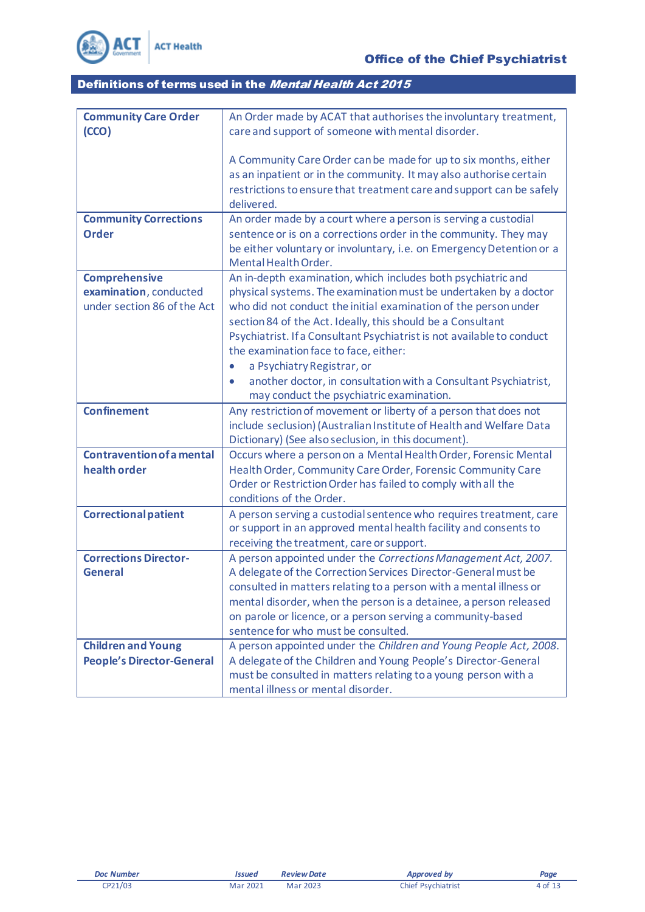

| <b>Community Care Order</b>      | An Order made by ACAT that authorises the involuntary treatment,                                     |
|----------------------------------|------------------------------------------------------------------------------------------------------|
| (CCO)                            | care and support of someone with mental disorder.                                                    |
|                                  |                                                                                                      |
|                                  | A Community Care Order can be made for up to six months, either                                      |
|                                  | as an inpatient or in the community. It may also authorise certain                                   |
|                                  | restrictions to ensure that treatment care and support can be safely                                 |
|                                  | delivered.                                                                                           |
| <b>Community Corrections</b>     | An order made by a court where a person is serving a custodial                                       |
| <b>Order</b>                     | sentence or is on a corrections order in the community. They may                                     |
|                                  | be either voluntary or involuntary, i.e. on Emergency Detention or a                                 |
|                                  | Mental Health Order.                                                                                 |
| <b>Comprehensive</b>             | An in-depth examination, which includes both psychiatric and                                         |
| examination, conducted           | physical systems. The examination must be undertaken by a doctor                                     |
| under section 86 of the Act      | who did not conduct the initial examination of the person under                                      |
|                                  | section 84 of the Act. Ideally, this should be a Consultant                                          |
|                                  | Psychiatrist. If a Consultant Psychiatrist is not available to conduct                               |
|                                  | the examination face to face, either:                                                                |
|                                  | a Psychiatry Registrar, or<br>$\bullet$                                                              |
|                                  | another doctor, in consultation with a Consultant Psychiatrist,                                      |
|                                  | may conduct the psychiatric examination.                                                             |
|                                  |                                                                                                      |
| <b>Confinement</b>               | Any restriction of movement or liberty of a person that does not                                     |
|                                  | include seclusion) (Australian Institute of Health and Welfare Data                                  |
|                                  | Dictionary) (See also seclusion, in this document).                                                  |
| <b>Contravention of a mental</b> | Occurs where a person on a Mental Health Order, Forensic Mental                                      |
| health order                     | Health Order, Community Care Order, Forensic Community Care                                          |
|                                  | Order or Restriction Order has failed to comply with all the                                         |
|                                  | conditions of the Order.                                                                             |
| <b>Correctional patient</b>      | A person serving a custodial sentence who requires treatment, care                                   |
|                                  | or support in an approved mental health facility and consents to                                     |
|                                  | receiving the treatment, care or support.                                                            |
| <b>Corrections Director-</b>     | A person appointed under the Corrections Management Act, 2007.                                       |
| <b>General</b>                   | A delegate of the Correction Services Director-General must be                                       |
|                                  | consulted in matters relating to a person with a mental illness or                                   |
|                                  | mental disorder, when the person is a detainee, a person released                                    |
|                                  | on parole or licence, or a person serving a community-based                                          |
|                                  | sentence for who must be consulted.                                                                  |
| <b>Children and Young</b>        | A person appointed under the Children and Young People Act, 2008.                                    |
| <b>People's Director-General</b> | A delegate of the Children and Young People's Director-General                                       |
|                                  | must be consulted in matters relating to a young person with a<br>mental illness or mental disorder. |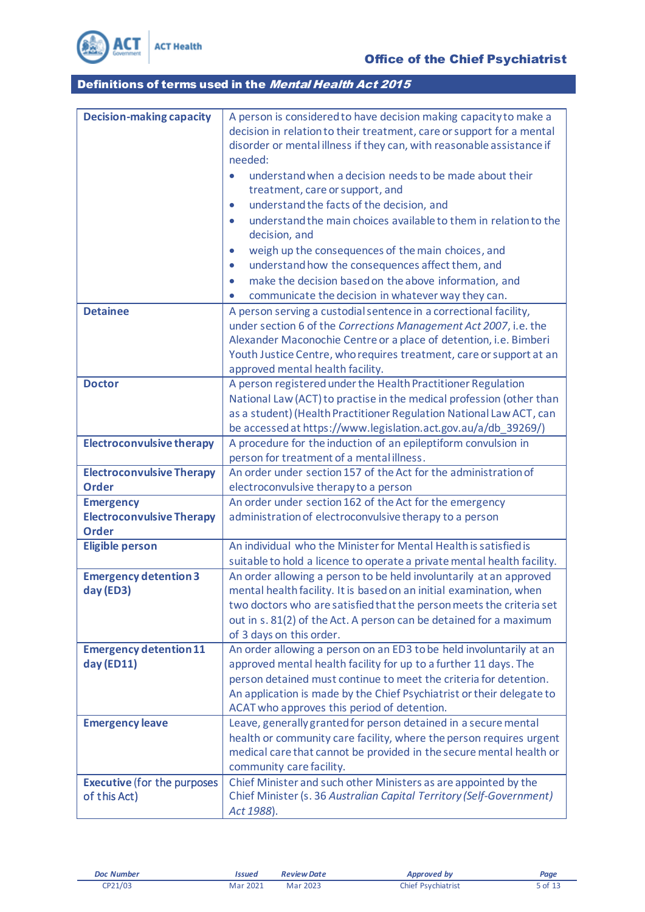

| <b>Decision-making capacity</b>    | A person is considered to have decision making capacity to make a                                                                     |
|------------------------------------|---------------------------------------------------------------------------------------------------------------------------------------|
|                                    | decision in relation to their treatment, care or support for a mental                                                                 |
|                                    | disorder or mental illness if they can, with reasonable assistance if                                                                 |
|                                    | needed:                                                                                                                               |
|                                    | understand when a decision needs to be made about their                                                                               |
|                                    | treatment, care or support, and                                                                                                       |
|                                    | understand the facts of the decision, and<br>$\bullet$                                                                                |
|                                    | understand the main choices available to them in relation to the<br>$\bullet$                                                         |
|                                    | decision, and                                                                                                                         |
|                                    | weigh up the consequences of the main choices, and<br>$\bullet$                                                                       |
|                                    | understand how the consequences affect them, and<br>$\bullet$                                                                         |
|                                    | make the decision based on the above information, and<br>$\bullet$                                                                    |
|                                    | communicate the decision in whatever way they can.                                                                                    |
| <b>Detainee</b>                    |                                                                                                                                       |
|                                    | A person serving a custodial sentence in a correctional facility,<br>under section 6 of the Corrections Management Act 2007, i.e. the |
|                                    | Alexander Maconochie Centre or a place of detention, i.e. Bimberi                                                                     |
|                                    | Youth Justice Centre, who requires treatment, care or support at an                                                                   |
|                                    | approved mental health facility.                                                                                                      |
| <b>Doctor</b>                      | A person registered under the Health Practitioner Regulation                                                                          |
|                                    | National Law (ACT) to practise in the medical profession (other than                                                                  |
|                                    | as a student) (Health Practitioner Regulation National Law ACT, can                                                                   |
|                                    | be accessed at https://www.legislation.act.gov.au/a/db_39269/)                                                                        |
| <b>Electroconvulsive therapy</b>   | A procedure for the induction of an epileptiform convulsion in                                                                        |
|                                    | person for treatment of a mental illness.                                                                                             |
| <b>Electroconvulsive Therapy</b>   | An order under section 157 of the Act for the administration of                                                                       |
| <b>Order</b>                       | electroconvulsive therapy to a person                                                                                                 |
| <b>Emergency</b>                   | An order under section 162 of the Act for the emergency                                                                               |
| <b>Electroconvulsive Therapy</b>   | administration of electroconvulsive therapy to a person                                                                               |
| <b>Order</b>                       |                                                                                                                                       |
| <b>Eligible person</b>             | An individual who the Minister for Mental Health is satisfied is                                                                      |
|                                    | suitable to hold a licence to operate a private mental health facility.                                                               |
| <b>Emergency detention 3</b>       | An order allowing a person to be held involuntarily at an approved                                                                    |
| day (ED3)                          | mental health facility. It is based on an initial examination, when                                                                   |
|                                    | two doctors who are satisfied that the person meets the criteria set                                                                  |
|                                    | out in s. 81(2) of the Act. A person can be detained for a maximum                                                                    |
|                                    | of 3 days on this order.                                                                                                              |
| <b>Emergency detention 11</b>      | An order allowing a person on an ED3 to be held involuntarily at an                                                                   |
| day (ED11)                         | approved mental health facility for up to a further 11 days. The                                                                      |
|                                    | person detained must continue to meet the criteria for detention.                                                                     |
|                                    | An application is made by the Chief Psychiatrist or their delegate to                                                                 |
|                                    | ACAT who approves this period of detention.                                                                                           |
| <b>Emergency leave</b>             | Leave, generally granted for person detained in a secure mental                                                                       |
|                                    | health or community care facility, where the person requires urgent                                                                   |
|                                    | medical care that cannot be provided in the secure mental health or                                                                   |
|                                    | community care facility.                                                                                                              |
| <b>Executive (for the purposes</b> | Chief Minister and such other Ministers as are appointed by the                                                                       |
| of this Act)                       | Chief Minister (s. 36 Australian Capital Territory (Self-Government)                                                                  |
|                                    | Act 1988).                                                                                                                            |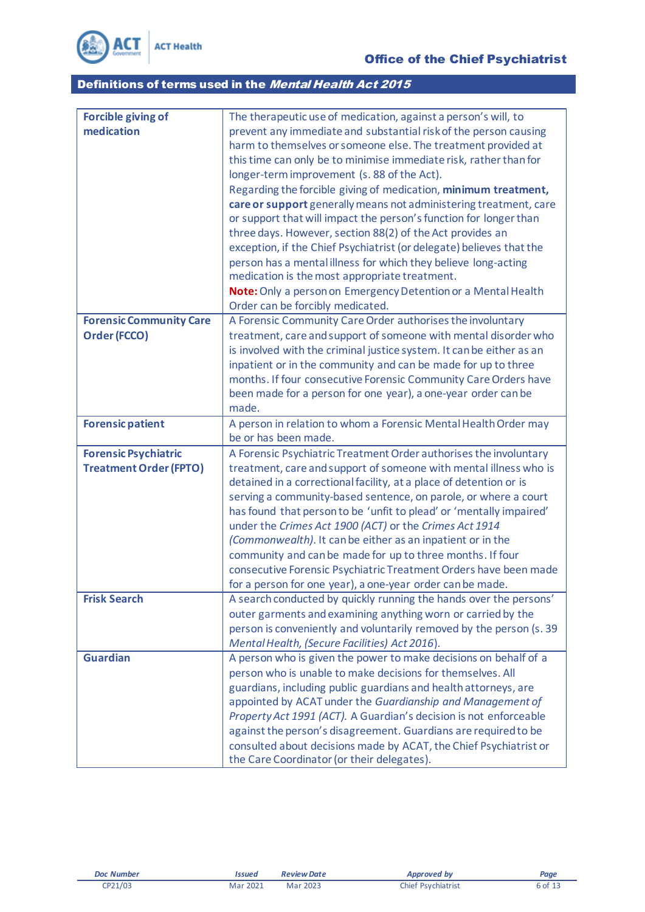

| <b>Forcible giving of</b>      | The therapeutic use of medication, against a person's will, to                                                                    |
|--------------------------------|-----------------------------------------------------------------------------------------------------------------------------------|
| medication                     | prevent any immediate and substantial risk of the person causing                                                                  |
|                                | harm to themselves or someone else. The treatment provided at                                                                     |
|                                | this time can only be to minimise immediate risk, rather than for                                                                 |
|                                | longer-term improvement (s. 88 of the Act).                                                                                       |
|                                | Regarding the forcible giving of medication, minimum treatment,                                                                   |
|                                | care or support generally means not administering treatment, care                                                                 |
|                                | or support that will impact the person's function for longer than<br>three days. However, section 88(2) of the Act provides an    |
|                                | exception, if the Chief Psychiatrist (or delegate) believes that the                                                              |
|                                | person has a mental illness for which they believe long-acting                                                                    |
|                                | medication is the most appropriate treatment.                                                                                     |
|                                | Note: Only a person on Emergency Detention or a Mental Health                                                                     |
|                                | Order can be forcibly medicated.                                                                                                  |
| <b>Forensic Community Care</b> | A Forensic Community Care Order authorises the involuntary                                                                        |
| Order (FCCO)                   | treatment, care and support of someone with mental disorder who                                                                   |
|                                | is involved with the criminal justice system. It can be either as an                                                              |
|                                | inpatient or in the community and can be made for up to three                                                                     |
|                                | months. If four consecutive Forensic Community Care Orders have                                                                   |
|                                | been made for a person for one year), a one-year order can be                                                                     |
|                                | made.                                                                                                                             |
| <b>Forensic patient</b>        | A person in relation to whom a Forensic Mental Health Order may<br>be or has been made.                                           |
| <b>Forensic Psychiatric</b>    | A Forensic Psychiatric Treatment Order authorises the involuntary                                                                 |
| <b>Treatment Order (FPTO)</b>  | treatment, care and support of someone with mental illness who is                                                                 |
|                                | detained in a correctional facility, at a place of detention or is                                                                |
|                                | serving a community-based sentence, on parole, or where a court                                                                   |
|                                | has found that person to be 'unfit to plead' or 'mentally impaired'                                                               |
|                                | under the Crimes Act 1900 (ACT) or the Crimes Act 1914                                                                            |
|                                | (Commonwealth). It can be either as an inpatient or in the                                                                        |
|                                | community and can be made for up to three months. If four                                                                         |
|                                | consecutive Forensic Psychiatric Treatment Orders have been made                                                                  |
| <b>Frisk Search</b>            | for a person for one year), a one-year order can be made.                                                                         |
|                                | A search conducted by quickly running the hands over the persons'<br>outer garments and examining anything worn or carried by the |
|                                | person is conveniently and voluntarily removed by the person (s. 39                                                               |
|                                | Mental Health, (Secure Facilities) Act 2016).                                                                                     |
| <b>Guardian</b>                | A person who is given the power to make decisions on behalf of a                                                                  |
|                                | person who is unable to make decisions for themselves. All                                                                        |
|                                | guardians, including public guardians and health attorneys, are                                                                   |
|                                | appointed by ACAT under the Guardianship and Management of                                                                        |
|                                | Property Act 1991 (ACT). A Guardian's decision is not enforceable                                                                 |
|                                | against the person's disagreement. Guardians are required to be                                                                   |
|                                | consulted about decisions made by ACAT, the Chief Psychiatrist or                                                                 |
|                                | the Care Coordinator (or their delegates).                                                                                        |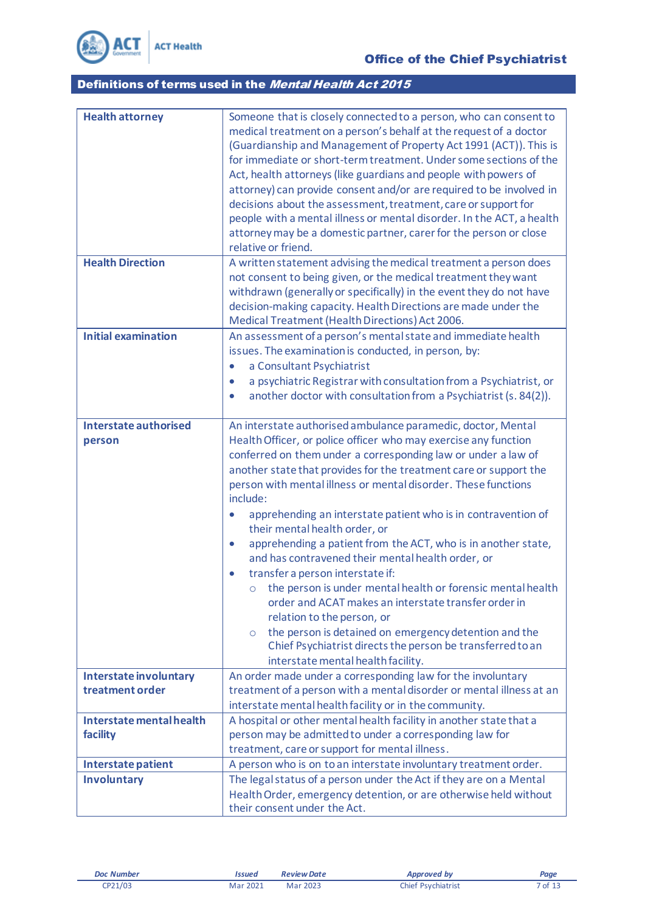

| <b>Health attorney</b><br><b>Health Direction</b> | Someone that is closely connected to a person, who can consent to<br>medical treatment on a person's behalf at the request of a doctor<br>(Guardianship and Management of Property Act 1991 (ACT)). This is<br>for immediate or short-term treatment. Under some sections of the<br>Act, health attorneys (like guardians and people with powers of<br>attorney) can provide consent and/or are required to be involved in<br>decisions about the assessment, treatment, care or support for<br>people with a mental illness or mental disorder. In the ACT, a health<br>attorney may be a domestic partner, carer for the person or close<br>relative or friend.<br>A written statement advising the medical treatment a person does<br>not consent to being given, or the medical treatment they want                                                                                                                                                                           |
|---------------------------------------------------|-----------------------------------------------------------------------------------------------------------------------------------------------------------------------------------------------------------------------------------------------------------------------------------------------------------------------------------------------------------------------------------------------------------------------------------------------------------------------------------------------------------------------------------------------------------------------------------------------------------------------------------------------------------------------------------------------------------------------------------------------------------------------------------------------------------------------------------------------------------------------------------------------------------------------------------------------------------------------------------|
|                                                   | withdrawn (generally or specifically) in the event they do not have<br>decision-making capacity. Health Directions are made under the<br>Medical Treatment (Health Directions) Act 2006.                                                                                                                                                                                                                                                                                                                                                                                                                                                                                                                                                                                                                                                                                                                                                                                          |
| <b>Initial examination</b>                        | An assessment of a person's mental state and immediate health<br>issues. The examination is conducted, in person, by:<br>a Consultant Psychiatrist<br>$\bullet$<br>a psychiatric Registrar with consultation from a Psychiatrist, or<br>$\bullet$<br>another doctor with consultation from a Psychiatrist (s. 84(2)).<br>$\bullet$                                                                                                                                                                                                                                                                                                                                                                                                                                                                                                                                                                                                                                                |
| <b>Interstate authorised</b><br>person            | An interstate authorised ambulance paramedic, doctor, Mental<br>Health Officer, or police officer who may exercise any function<br>conferred on them under a corresponding law or under a law of<br>another state that provides for the treatment care or support the<br>person with mental illness or mental disorder. These functions<br>include:<br>apprehending an interstate patient who is in contravention of<br>their mental health order, or<br>apprehending a patient from the ACT, who is in another state,<br>$\bullet$<br>and has contravened their mental health order, or<br>transfer a person interstate if:<br>$\bullet$<br>the person is under mental health or forensic mental health<br>$\circ$<br>order and ACAT makes an interstate transfer order in<br>relation to the person, or<br>the person is detained on emergency detention and the<br>$\circ$<br>Chief Psychiatrist directs the person be transferred to an<br>interstate mental health facility. |
| <b>Interstate involuntary</b><br>treatment order  | An order made under a corresponding law for the involuntary<br>treatment of a person with a mental disorder or mental illness at an<br>interstate mental health facility or in the community.                                                                                                                                                                                                                                                                                                                                                                                                                                                                                                                                                                                                                                                                                                                                                                                     |
| Interstate mental health<br>facility              | A hospital or other mental health facility in another state that a<br>person may be admitted to under a corresponding law for<br>treatment, care or support for mental illness.                                                                                                                                                                                                                                                                                                                                                                                                                                                                                                                                                                                                                                                                                                                                                                                                   |
| Interstate patient                                | A person who is on to an interstate involuntary treatment order.                                                                                                                                                                                                                                                                                                                                                                                                                                                                                                                                                                                                                                                                                                                                                                                                                                                                                                                  |
| <b>Involuntary</b>                                | The legal status of a person under the Act if they are on a Mental<br>Health Order, emergency detention, or are otherwise held without<br>their consent under the Act.                                                                                                                                                                                                                                                                                                                                                                                                                                                                                                                                                                                                                                                                                                                                                                                                            |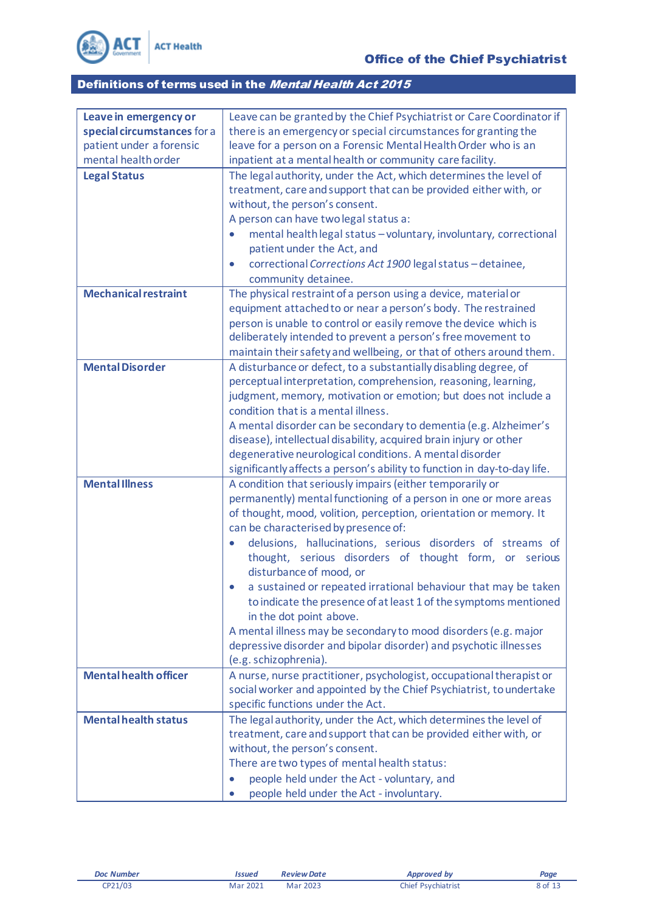

| Leave in emergency or        | Leave can be granted by the Chief Psychiatrist or Care Coordinator if          |
|------------------------------|--------------------------------------------------------------------------------|
| special circumstances for a  | there is an emergency or special circumstances for granting the                |
| patient under a forensic     | leave for a person on a Forensic Mental Health Order who is an                 |
| mental health order          | inpatient at a mental health or community care facility.                       |
| <b>Legal Status</b>          | The legal authority, under the Act, which determines the level of              |
|                              | treatment, care and support that can be provided either with, or               |
|                              | without, the person's consent.                                                 |
|                              | A person can have two legal status a:                                          |
|                              | mental health legal status - voluntary, involuntary, correctional<br>$\bullet$ |
|                              | patient under the Act, and                                                     |
|                              | correctional Corrections Act 1900 legal status - detainee,<br>$\bullet$        |
|                              | community detainee.                                                            |
| <b>Mechanical restraint</b>  | The physical restraint of a person using a device, material or                 |
|                              | equipment attached to or near a person's body. The restrained                  |
|                              | person is unable to control or easily remove the device which is               |
|                              | deliberately intended to prevent a person's free movement to                   |
|                              | maintain their safety and wellbeing, or that of others around them.            |
| <b>Mental Disorder</b>       | A disturbance or defect, to a substantially disabling degree, of               |
|                              | perceptual interpretation, comprehension, reasoning, learning,                 |
|                              | judgment, memory, motivation or emotion; but does not include a                |
|                              | condition that is a mental illness.                                            |
|                              | A mental disorder can be secondary to dementia (e.g. Alzheimer's               |
|                              | disease), intellectual disability, acquired brain injury or other              |
|                              | degenerative neurological conditions. A mental disorder                        |
|                              | significantly affects a person's ability to function in day-to-day life.       |
| <b>Mental Illness</b>        | A condition that seriously impairs (either temporarily or                      |
|                              | permanently) mental functioning of a person in one or more areas               |
|                              | of thought, mood, volition, perception, orientation or memory. It              |
|                              | can be characterised by presence of:                                           |
|                              | delusions, hallucinations, serious disorders of streams of                     |
|                              | thought, serious disorders of thought form, or<br>serious                      |
|                              | disturbance of mood, or                                                        |
|                              | a sustained or repeated irrational behaviour that may be taken                 |
|                              | to indicate the presence of at least 1 of the symptoms mentioned               |
|                              | in the dot point above.                                                        |
|                              | A mental illness may be secondary to mood disorders (e.g. major                |
|                              | depressive disorder and bipolar disorder) and psychotic illnesses              |
|                              | (e.g. schizophrenia).                                                          |
| <b>Mental health officer</b> | A nurse, nurse practitioner, psychologist, occupational therapist or           |
|                              | social worker and appointed by the Chief Psychiatrist, to undertake            |
|                              | specific functions under the Act.                                              |
| <b>Mental health status</b>  | The legal authority, under the Act, which determines the level of              |
|                              | treatment, care and support that can be provided either with, or               |
|                              | without, the person's consent.                                                 |
|                              | There are two types of mental health status:                                   |
|                              | people held under the Act - voluntary, and<br>$\bullet$                        |
|                              | people held under the Act - involuntary.                                       |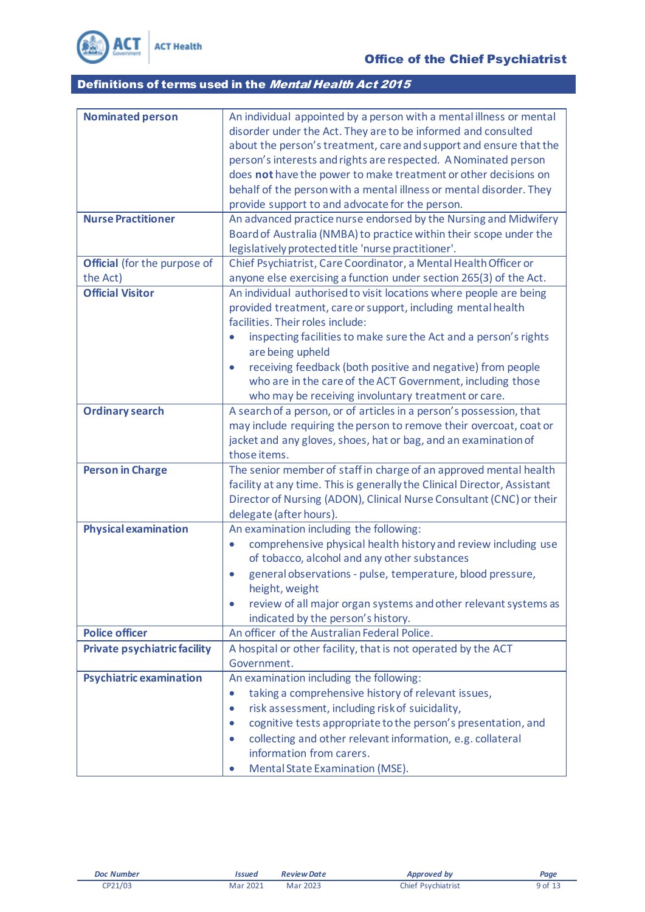

| <b>Nominated person</b>             | An individual appointed by a person with a mental illness or mental         |
|-------------------------------------|-----------------------------------------------------------------------------|
|                                     | disorder under the Act. They are to be informed and consulted               |
|                                     | about the person's treatment, care and support and ensure that the          |
|                                     | person's interests and rights are respected. A Nominated person             |
|                                     | does not have the power to make treatment or other decisions on             |
|                                     | behalf of the person with a mental illness or mental disorder. They         |
|                                     | provide support to and advocate for the person.                             |
| <b>Nurse Practitioner</b>           | An advanced practice nurse endorsed by the Nursing and Midwifery            |
|                                     | Board of Australia (NMBA) to practice within their scope under the          |
|                                     | legislatively protected title 'nurse practitioner'.                         |
| <b>Official</b> (for the purpose of | Chief Psychiatrist, Care Coordinator, a Mental Health Officer or            |
| the Act)                            | anyone else exercising a function under section 265(3) of the Act.          |
| <b>Official Visitor</b>             | An individual authorised to visit locations where people are being          |
|                                     | provided treatment, care or support, including mental health                |
|                                     | facilities. Their roles include:                                            |
|                                     | inspecting facilities to make sure the Act and a person's rights            |
|                                     | are being upheld                                                            |
|                                     | receiving feedback (both positive and negative) from people<br>$\bullet$    |
|                                     | who are in the care of the ACT Government, including those                  |
|                                     | who may be receiving involuntary treatment or care.                         |
| <b>Ordinary search</b>              | A search of a person, or of articles in a person's possession, that         |
|                                     | may include requiring the person to remove their overcoat, coat or          |
|                                     | jacket and any gloves, shoes, hat or bag, and an examination of             |
|                                     | those items.                                                                |
| <b>Person in Charge</b>             | The senior member of staff in charge of an approved mental health           |
|                                     | facility at any time. This is generally the Clinical Director, Assistant    |
|                                     | Director of Nursing (ADON), Clinical Nurse Consultant (CNC) or their        |
|                                     | delegate (after hours).                                                     |
| <b>Physical examination</b>         | An examination including the following:                                     |
|                                     | comprehensive physical health history and review including use<br>$\bullet$ |
|                                     | of tobacco, alcohol and any other substances                                |
|                                     | general observations - pulse, temperature, blood pressure,<br>$\bullet$     |
|                                     | height, weight                                                              |
|                                     | review of all major organ systems and other relevant systems as             |
|                                     | indicated by the person's history.                                          |
| <b>Police officer</b>               | An officer of the Australian Federal Police.                                |
| <b>Private psychiatric facility</b> | A hospital or other facility, that is not operated by the ACT               |
|                                     | Government.                                                                 |
| <b>Psychiatric examination</b>      | An examination including the following:                                     |
|                                     | taking a comprehensive history of relevant issues,                          |
|                                     | risk assessment, including risk of suicidality,<br>$\bullet$                |
|                                     | cognitive tests appropriate to the person's presentation, and<br>$\bullet$  |
|                                     | collecting and other relevant information, e.g. collateral                  |
|                                     | information from carers.                                                    |
|                                     | Mental State Examination (MSE).<br>$\bullet$                                |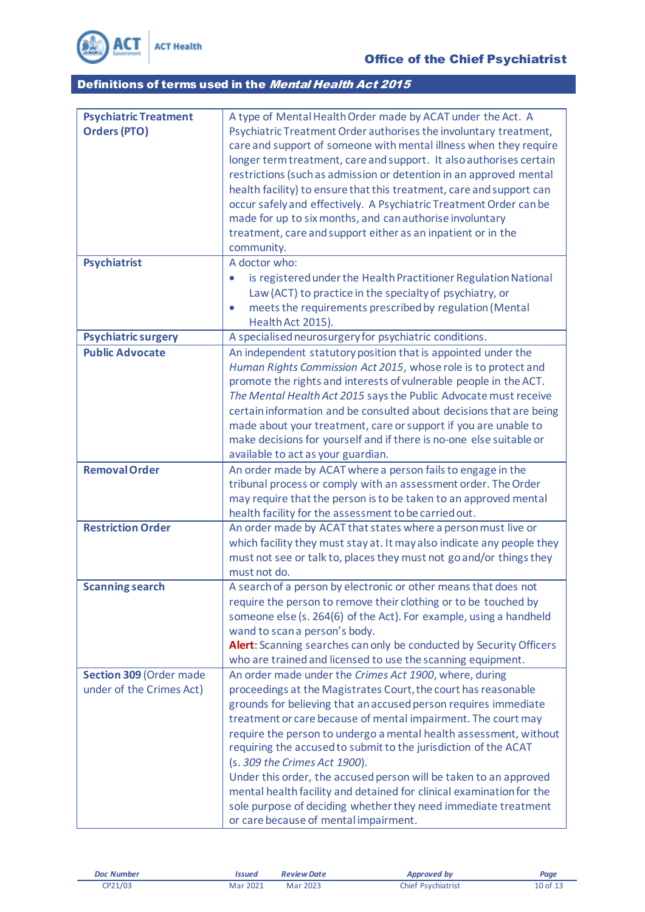

| <b>Psychiatric Treatment</b> | A type of Mental Health Order made by ACAT under the Act. A                     |
|------------------------------|---------------------------------------------------------------------------------|
| <b>Orders (PTO)</b>          | Psychiatric Treatment Order authorises the involuntary treatment,               |
|                              | care and support of someone with mental illness when they require               |
|                              | longer term treatment, care and support. It also authorises certain             |
|                              | restrictions (such as admission or detention in an approved mental              |
|                              | health facility) to ensure that this treatment, care and support can            |
|                              | occur safely and effectively. A Psychiatric Treatment Order can be              |
|                              | made for up to six months, and can authorise involuntary                        |
|                              | treatment, care and support either as an inpatient or in the                    |
|                              | community.                                                                      |
| <b>Psychiatrist</b>          | A doctor who:                                                                   |
|                              | is registered under the Health Practitioner Regulation National<br>$\bullet$    |
|                              | Law (ACT) to practice in the specialty of psychiatry, or                        |
|                              | meets the requirements prescribed by regulation (Mental<br>$\bullet$            |
|                              | Health Act 2015).                                                               |
| Psychiatric surgery          | A specialised neurosurgery for psychiatric conditions.                          |
| <b>Public Advocate</b>       | An independent statutory position that is appointed under the                   |
|                              | Human Rights Commission Act 2015, whose role is to protect and                  |
|                              | promote the rights and interests of vulnerable people in the ACT.               |
|                              | The Mental Health Act 2015 says the Public Advocate must receive                |
|                              | certain information and be consulted about decisions that are being             |
|                              | made about your treatment, care or support if you are unable to                 |
|                              | make decisions for yourself and if there is no-one else suitable or             |
|                              | available to act as your guardian.                                              |
| <b>Removal Order</b>         | An order made by ACAT where a person fails to engage in the                     |
|                              | tribunal process or comply with an assessment order. The Order                  |
|                              | may require that the person is to be taken to an approved mental                |
|                              | health facility for the assessment to be carried out.                           |
| <b>Restriction Order</b>     | An order made by ACAT that states where a person must live or                   |
|                              | which facility they must stay at. It may also indicate any people they          |
|                              | must not see or talk to, places they must not go and/or things they             |
| <b>Scanning search</b>       | must not do.<br>A search of a person by electronic or other means that does not |
|                              | require the person to remove their clothing or to be touched by                 |
|                              | someone else (s. 264(6) of the Act). For example, using a handheld              |
|                              | wand to scan a person's body.                                                   |
|                              | Alert: Scanning searches can only be conducted by Security Officers             |
|                              | who are trained and licensed to use the scanning equipment.                     |
| Section 309 (Order made      | An order made under the Crimes Act 1900, where, during                          |
| under of the Crimes Act)     | proceedings at the Magistrates Court, the court has reasonable                  |
|                              | grounds for believing that an accused person requires immediate                 |
|                              | treatment or care because of mental impairment. The court may                   |
|                              | require the person to undergo a mental health assessment, without               |
|                              | requiring the accused to submit to the jurisdiction of the ACAT                 |
|                              | (s. 309 the Crimes Act 1900).                                                   |
|                              | Under this order, the accused person will be taken to an approved               |
|                              | mental health facility and detained for clinical examination for the            |
|                              | sole purpose of deciding whether they need immediate treatment                  |
|                              | or care because of mental impairment.                                           |
|                              |                                                                                 |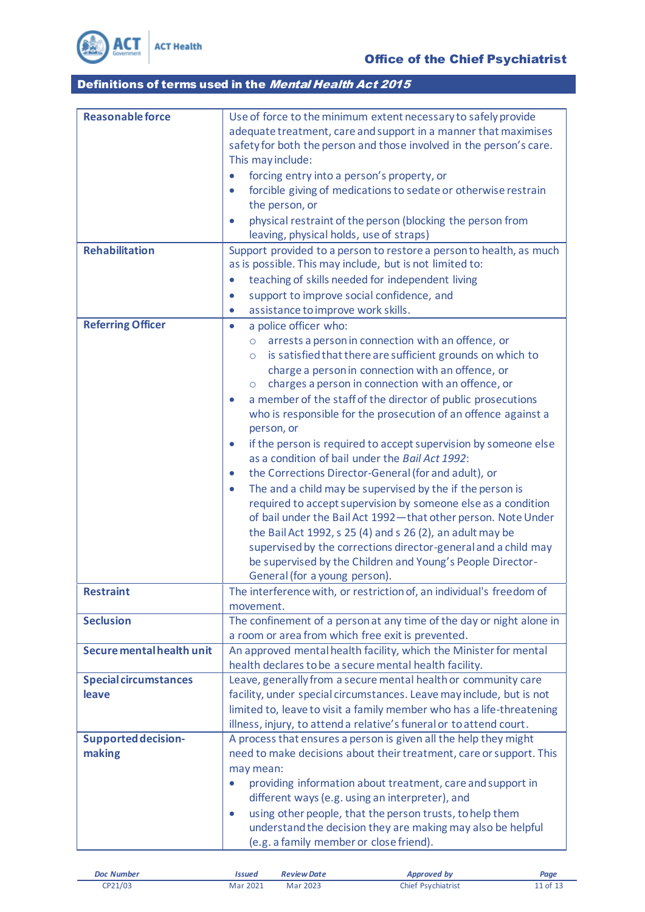

| <b>Reasonable force</b>      | Use of force to the minimum extent necessary to safely provide                                                                              |
|------------------------------|---------------------------------------------------------------------------------------------------------------------------------------------|
|                              | adequate treatment, care and support in a manner that maximises                                                                             |
|                              | safety for both the person and those involved in the person's care.                                                                         |
|                              | This may include:                                                                                                                           |
|                              | forcing entry into a person's property, or                                                                                                  |
|                              | forcible giving of medications to sedate or otherwise restrain                                                                              |
|                              | the person, or                                                                                                                              |
|                              | physical restraint of the person (blocking the person from                                                                                  |
|                              | leaving, physical holds, use of straps)                                                                                                     |
| <b>Rehabilitation</b>        | Support provided to a person to restore a person to health, as much                                                                         |
|                              | as is possible. This may include, but is not limited to:                                                                                    |
|                              | teaching of skills needed for independent living                                                                                            |
|                              | support to improve social confidence, and<br>$\bullet$                                                                                      |
|                              | assistance to improve work skills.<br>$\bullet$                                                                                             |
| <b>Referring Officer</b>     | a police officer who:<br>$\bullet$                                                                                                          |
|                              | arrests a person in connection with an offence, or<br>O                                                                                     |
|                              | is satisfied that there are sufficient grounds on which to<br>$\circ$                                                                       |
|                              | charge a person in connection with an offence, or                                                                                           |
|                              | charges a person in connection with an offence, or<br>$\circ$                                                                               |
|                              | a member of the staff of the director of public prosecutions<br>$\bullet$<br>who is responsible for the prosecution of an offence against a |
|                              | person, or                                                                                                                                  |
|                              | if the person is required to accept supervision by someone else<br>$\bullet$                                                                |
|                              | as a condition of bail under the Bail Act 1992:                                                                                             |
|                              | the Corrections Director-General (for and adult), or<br>$\bullet$                                                                           |
|                              | The and a child may be supervised by the if the person is<br>$\bullet$                                                                      |
|                              | required to accept supervision by someone else as a condition                                                                               |
|                              | of bail under the Bail Act 1992-that other person. Note Under                                                                               |
|                              | the Bail Act 1992, s 25 (4) and s 26 (2), an adult may be                                                                                   |
|                              | supervised by the corrections director-general and a child may                                                                              |
|                              | be supervised by the Children and Young's People Director-                                                                                  |
|                              | General (for a young person).                                                                                                               |
| <b>Restraint</b>             | The interference with, or restriction of, an individual's freedom of                                                                        |
|                              | movement.                                                                                                                                   |
| <b>Seclusion</b>             | The confinement of a person at any time of the day or night alone in                                                                        |
|                              | a room or area from which free exit is prevented.                                                                                           |
| Secure mental health unit    | An approved mental health facility, which the Minister for mental                                                                           |
|                              | health declares to be a secure mental health facility.                                                                                      |
| <b>Special circumstances</b> | Leave, generally from a secure mental health or community care                                                                              |
| leave                        | facility, under special circumstances. Leave may include, but is not                                                                        |
|                              | limited to, leave to visit a family member who has a life-threatening                                                                       |
|                              | illness, injury, to attend a relative's funeral or to attend court.                                                                         |
| <b>Supported decision-</b>   | A process that ensures a person is given all the help they might                                                                            |
| making                       | need to make decisions about their treatment, care or support. This<br>may mean:                                                            |
|                              | providing information about treatment, care and support in                                                                                  |
|                              | different ways (e.g. using an interpreter), and                                                                                             |
|                              | using other people, that the person trusts, to help them                                                                                    |
|                              | understand the decision they are making may also be helpful                                                                                 |
|                              | (e.g. a family member or close friend).                                                                                                     |
|                              |                                                                                                                                             |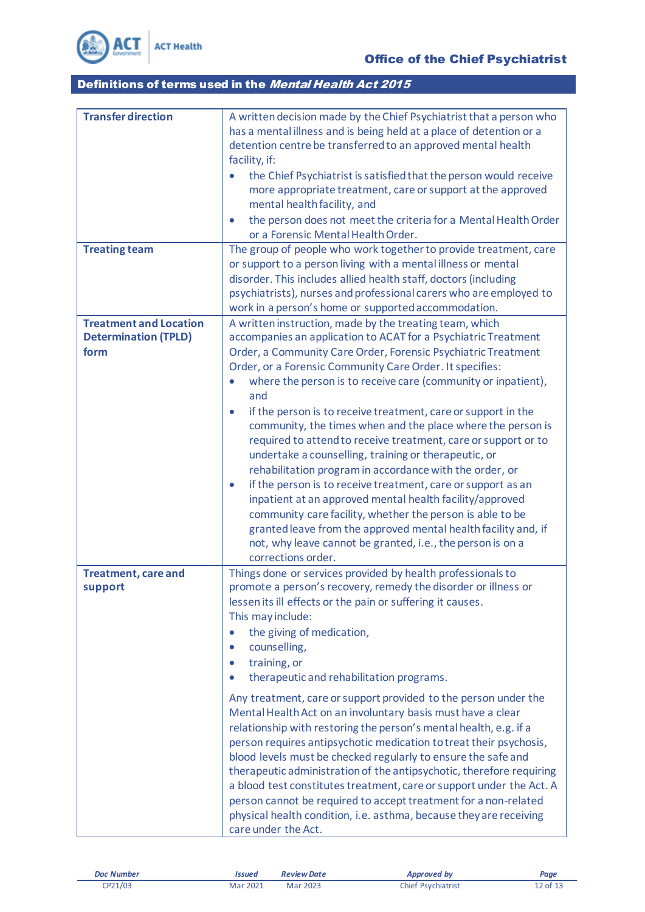

| <b>Transfer direction</b>     | A written decision made by the Chief Psychiatrist that a person who<br>has a mental illness and is being held at a place of detention or a |
|-------------------------------|--------------------------------------------------------------------------------------------------------------------------------------------|
|                               | detention centre be transferred to an approved mental health                                                                               |
|                               | facility, if:                                                                                                                              |
|                               | the Chief Psychiatrist is satisfied that the person would receive                                                                          |
|                               | more appropriate treatment, care or support at the approved                                                                                |
|                               | mental health facility, and                                                                                                                |
|                               | the person does not meet the criteria for a Mental Health Order<br>$\bullet$                                                               |
|                               | or a Forensic Mental Health Order.                                                                                                         |
| <b>Treating team</b>          | The group of people who work together to provide treatment, care                                                                           |
|                               | or support to a person living with a mental illness or mental<br>disorder. This includes allied health staff, doctors (including           |
|                               | psychiatrists), nurses and professional carers who are employed to                                                                         |
|                               | work in a person's home or supported accommodation.                                                                                        |
| <b>Treatment and Location</b> | A written instruction, made by the treating team, which                                                                                    |
| <b>Determination (TPLD)</b>   | accompanies an application to ACAT for a Psychiatric Treatment                                                                             |
| form                          | Order, a Community Care Order, Forensic Psychiatric Treatment                                                                              |
|                               | Order, or a Forensic Community Care Order. It specifies:                                                                                   |
|                               | where the person is to receive care (community or inpatient),<br>$\bullet$                                                                 |
|                               | and                                                                                                                                        |
|                               | if the person is to receive treatment, care or support in the<br>$\bullet$                                                                 |
|                               | community, the times when and the place where the person is                                                                                |
|                               | required to attend to receive treatment, care or support or to<br>undertake a counselling, training or therapeutic, or                     |
|                               | rehabilitation program in accordance with the order, or                                                                                    |
|                               | if the person is to receive treatment, care or support as an<br>$\bullet$                                                                  |
|                               | inpatient at an approved mental health facility/approved                                                                                   |
|                               | community care facility, whether the person is able to be                                                                                  |
|                               | granted leave from the approved mental health facility and, if                                                                             |
|                               | not, why leave cannot be granted, i.e., the person is on a                                                                                 |
|                               | corrections order.                                                                                                                         |
| <b>Treatment, care and</b>    | Things done or services provided by health professionals to                                                                                |
| support                       | promote a person's recovery, remedy the disorder or illness or                                                                             |
|                               | lessen its ill effects or the pain or suffering it causes.<br>This may include:                                                            |
|                               | the giving of medication,                                                                                                                  |
|                               | counselling,<br>$\bullet$                                                                                                                  |
|                               | training, or<br>$\bullet$                                                                                                                  |
|                               | therapeutic and rehabilitation programs.                                                                                                   |
|                               |                                                                                                                                            |
|                               | Any treatment, care or support provided to the person under the<br>Mental Health Act on an involuntary basis must have a clear             |
|                               | relationship with restoring the person's mental health, e.g. if a                                                                          |
|                               | person requires antipsychotic medication to treat their psychosis,                                                                         |
|                               | blood levels must be checked regularly to ensure the safe and                                                                              |
|                               | therapeutic administration of the antipsychotic, therefore requiring                                                                       |
|                               | a blood test constitutes treatment, care or support under the Act. A                                                                       |
|                               | person cannot be required to accept treatment for a non-related                                                                            |
|                               | physical health condition, i.e. asthma, because they are receiving                                                                         |
|                               | care under the Act.                                                                                                                        |